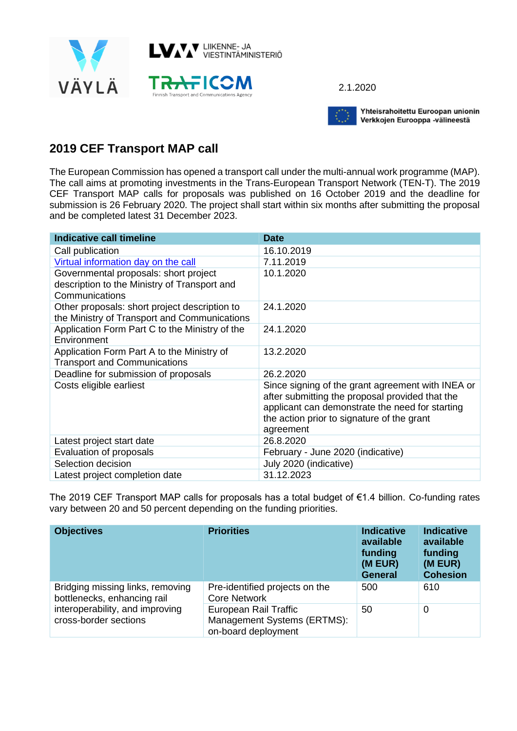

2.1.2020



Yhteisrahoitettu Euroopan unionin Verkkojen Eurooppa -välineestä

## **2019 CEF Transport MAP call**

The European Commission has opened a transport call under the multi-annual work programme (MAP). The call aims at promoting investments in the Trans-European Transport Network (TEN-T). The 2019 CEF Transport MAP calls for proposals was published on 16 October 2019 and the deadline for submission is 26 February 2020. The project shall start within six months after submitting the proposal and be completed latest 31 December 2023.

| Indicative call timeline                                                                                | <b>Date</b>                                                                                                                                                                                                        |
|---------------------------------------------------------------------------------------------------------|--------------------------------------------------------------------------------------------------------------------------------------------------------------------------------------------------------------------|
| Call publication                                                                                        | 16.10.2019                                                                                                                                                                                                         |
| Virtual information day on the call                                                                     | 7.11.2019                                                                                                                                                                                                          |
| Governmental proposals: short project<br>description to the Ministry of Transport and<br>Communications | 10.1.2020                                                                                                                                                                                                          |
| Other proposals: short project description to<br>the Ministry of Transport and Communications           | 24.1.2020                                                                                                                                                                                                          |
| Application Form Part C to the Ministry of the<br>Environment                                           | 24.1.2020                                                                                                                                                                                                          |
| Application Form Part A to the Ministry of<br><b>Transport and Communications</b>                       | 13.2.2020                                                                                                                                                                                                          |
| Deadline for submission of proposals                                                                    | 26.2.2020                                                                                                                                                                                                          |
| Costs eligible earliest                                                                                 | Since signing of the grant agreement with INEA or<br>after submitting the proposal provided that the<br>applicant can demonstrate the need for starting<br>the action prior to signature of the grant<br>agreement |
| Latest project start date                                                                               | 26.8.2020                                                                                                                                                                                                          |
| Evaluation of proposals                                                                                 | February - June 2020 (indicative)                                                                                                                                                                                  |
| Selection decision                                                                                      | July 2020 (indicative)                                                                                                                                                                                             |
| Latest project completion date                                                                          | 31.12.2023                                                                                                                                                                                                         |

The 2019 CEF Transport MAP calls for proposals has a total budget of €1.4 billion. Co-funding rates vary between 20 and 50 percent depending on the funding priorities.

| <b>Objectives</b>                                                                                                           | <b>Priorities</b>                                                           | <b>Indicative</b><br>available<br>funding<br>(M EUR)<br><b>General</b> | <b>Indicative</b><br>available<br>funding<br>(M EUR)<br><b>Cohesion</b> |
|-----------------------------------------------------------------------------------------------------------------------------|-----------------------------------------------------------------------------|------------------------------------------------------------------------|-------------------------------------------------------------------------|
| Bridging missing links, removing<br>bottlenecks, enhancing rail<br>interoperability, and improving<br>cross-border sections | Pre-identified projects on the<br><b>Core Network</b>                       | 500                                                                    | 610                                                                     |
|                                                                                                                             | European Rail Traffic<br>Management Systems (ERTMS):<br>on-board deployment | 50                                                                     | 0                                                                       |